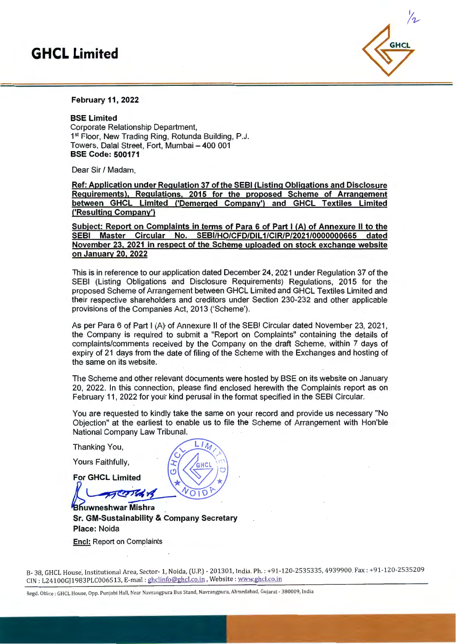# **GHCL Limited**



### February 11, 2022

#### SSE Limited

Corporate Relationship Department, 1<sup>st</sup> Floor, New Trading Ring, Rotunda Building, P.J. Towers, Dalal Street, Fort, Mumbai - 400 001 SSE Code: 500171

Dear Sir / Madam,

Ref: Application under Regulation 37 of the SESI (Listing Obligations and Disclosure Requirements). Regulations, 2015 for the proposed Scheme of Arrangement between GHCL Limited C'Demerged Company') and GHCL Textiles Limited ('Resulting Company')

Subject: Report on Complaints in terms of Para 6 of Part I (A) of Annexure II to the SEBI Master Circular No. SEBI/HO/CFD/DIL1/CIR/P/2021/0000000665 dated November 23, 2021 in respect of the Scheme uploaded on stock exchange website on January 20. 2022

This is in reference to our application dated December 24, 2021 under Regulation 37 of the SEBI (Listing Obligations and Disclosure Requirements) Regulations, 2015 for the proposed Scheme of Arrangement between GHCL Limited and GHCL Textiles Limited and their respective shareholders and creditors under Section 230-232 and other applicable provisions of the Companies Act, 2013 ('Scheme').

As per Para 6 of Part I (A) of Annexure II of the SEBI Circular dated November 23, 2021, the Company is required to submit a "Report on Complaints" containing the details of complaints/comments received by the Company on the draft Scheme, within 7 days of expiry of 21 days from the date of filing of the Scheme with the Exchanges and hosting of the same on its website.

The Scheme and other relevant documents were hosted by SSE on its website on January 20, 2022. In this connection, please find enclosed herewith the Complaints report as on February 11, 2022 for your kind perusal in the format specified in the SEBI Circular.

You are requested to kind!y take the same on your record and provide us necessary "No Objection" at the earliest to enable us to file the Scheme of Arrangement with Hon'ble National Company Law Tribunal.

Thanking You,

Yours Faithfully,  $|\mathfrak{T}| / \sqrt{g_{\rm HCl}}$ 

For GHCL Limited

**FL COTTLA 18** 

Bhuwneshwar Mishra Sr. GM-Sustainability & Company Secretary Place: Noida Encl: Report on Complaints

B- 38, GHCL House; Institutional Area, Sector- 1, Noida, (U.P.) - 201301, India. Ph. : +91-120-2535335, 4939900, Fax: +91-120-2535209 CIN : L24100GJ1983PLC006513, E-mail : ghclinfo@ghcl.co.in, Website : www.ghcl.co.in

Regd. Office : GHCL House, Opp. Punjabi Hall, Near Navrangpura Bus Stand, Navrangpura, Ahmedabad, Gujarat - 380009, India